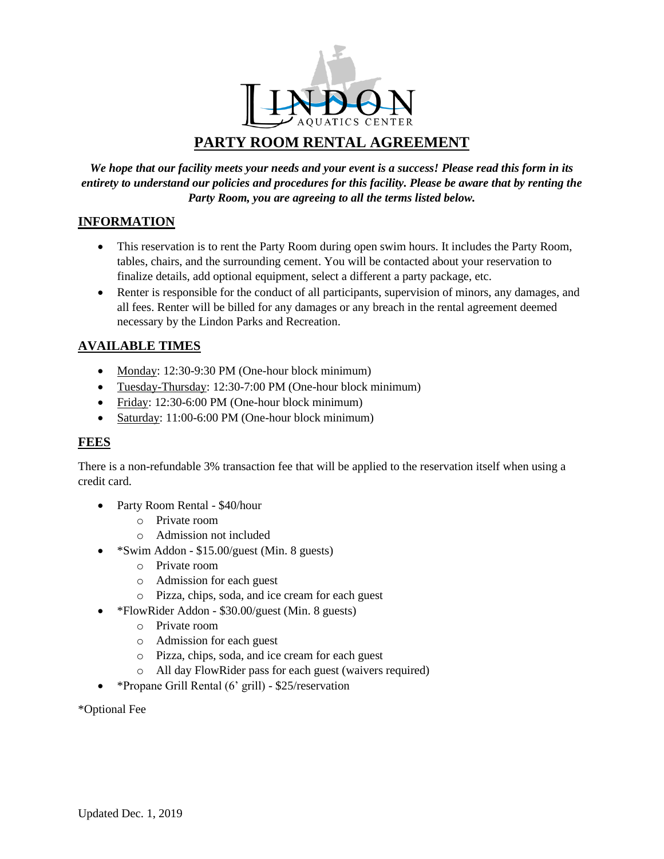

# **PARTY ROOM RENTAL AGREEMENT**

*We hope that our facility meets your needs and your event is a success! Please read this form in its entirety to understand our policies and procedures for this facility. Please be aware that by renting the Party Room, you are agreeing to all the terms listed below.* 

## **INFORMATION**

- This reservation is to rent the Party Room during open swim hours. It includes the Party Room, tables, chairs, and the surrounding cement. You will be contacted about your reservation to finalize details, add optional equipment, select a different a party package, etc.
- Renter is responsible for the conduct of all participants, supervision of minors, any damages, and all fees. Renter will be billed for any damages or any breach in the rental agreement deemed necessary by the Lindon Parks and Recreation.

## **AVAILABLE TIMES**

- Monday: 12:30-9:30 PM (One-hour block minimum)
- Tuesday-Thursday: 12:30-7:00 PM (One-hour block minimum)
- Friday: 12:30-6:00 PM (One-hour block minimum)
- Saturday: 11:00-6:00 PM (One-hour block minimum)

## **FEES**

There is a non-refundable 3% transaction fee that will be applied to the reservation itself when using a credit card.

- Party Room Rental \$40/hour
	- o Private room
	- o Admission not included
	- \*Swim Addon \$15.00/guest (Min. 8 guests)
		- o Private room
		- o Admission for each guest
		- o Pizza, chips, soda, and ice cream for each guest
- \*FlowRider Addon \$30.00/guest (Min. 8 guests)
	- o Private room
	- o Admission for each guest
	- o Pizza, chips, soda, and ice cream for each guest
	- o All day FlowRider pass for each guest (waivers required)
- \*Propane Grill Rental (6' grill) \$25/reservation

\*Optional Fee